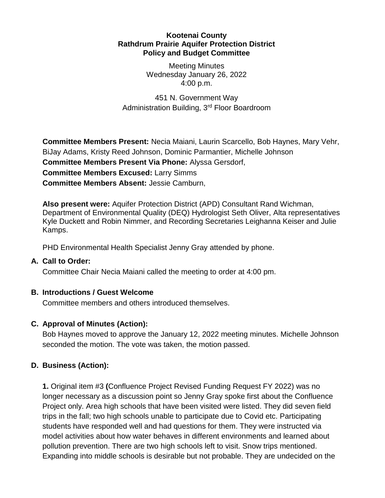#### **Kootenai County Rathdrum Prairie Aquifer Protection District Policy and Budget Committee**

Meeting Minutes Wednesday January 26, 2022 4:00 p.m.

451 N. Government Way Administration Building, 3rd Floor Boardroom

**Committee Members Present:** Necia Maiani, Laurin Scarcello, Bob Haynes, Mary Vehr, BiJay Adams, Kristy Reed Johnson, Dominic Parmantier, Michelle Johnson **Committee Members Present Via Phone:** Alyssa Gersdorf, **Committee Members Excused:** Larry Simms **Committee Members Absent:** Jessie Camburn,

**Also present were:** Aquifer Protection District (APD) Consultant Rand Wichman, Department of Environmental Quality (DEQ) Hydrologist Seth Oliver, Alta representatives Kyle Duckett and Robin Nimmer, and Recording Secretaries Leighanna Keiser and Julie Kamps.

PHD Environmental Health Specialist Jenny Gray attended by phone.

#### **A. Call to Order:**

Committee Chair Necia Maiani called the meeting to order at 4:00 pm.

## **B. Introductions / Guest Welcome**

Committee members and others introduced themselves.

## **C. Approval of Minutes (Action):**

Bob Haynes moved to approve the January 12, 2022 meeting minutes. Michelle Johnson seconded the motion. The vote was taken, the motion passed.

## **D. Business (Action):**

**1.** Original item #3 **(**Confluence Project Revised Funding Request FY 2022) was no longer necessary as a discussion point so Jenny Gray spoke first about the Confluence Project only. Area high schools that have been visited were listed. They did seven field trips in the fall; two high schools unable to participate due to Covid etc. Participating students have responded well and had questions for them. They were instructed via model activities about how water behaves in different environments and learned about pollution prevention. There are two high schools left to visit. Snow trips mentioned. Expanding into middle schools is desirable but not probable. They are undecided on the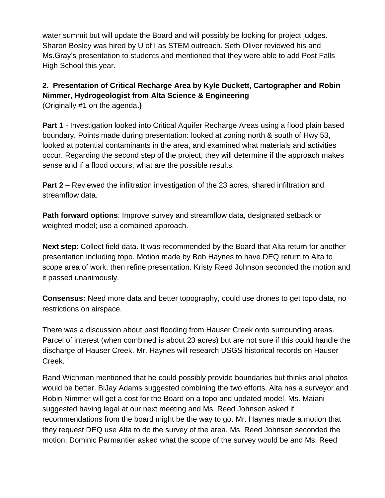water summit but will update the Board and will possibly be looking for project judges. Sharon Bosley was hired by U of I as STEM outreach. Seth Oliver reviewed his and Ms.Gray's presentation to students and mentioned that they were able to add Post Falls High School this year.

# **2. Presentation of Critical Recharge Area by Kyle Duckett, Cartographer and Robin Nimmer, Hydrogeologist from Alta Science & Engineering**

(Originally #1 on the agenda**.)**

**Part 1** - Investigation looked into Critical Aquifer Recharge Areas using a flood plain based boundary. Points made during presentation: looked at zoning north & south of Hwy 53, looked at potential contaminants in the area, and examined what materials and activities occur. Regarding the second step of the project, they will determine if the approach makes sense and if a flood occurs, what are the possible results.

**Part 2** – Reviewed the infiltration investigation of the 23 acres, shared infiltration and streamflow data.

**Path forward options**: Improve survey and streamflow data, designated setback or weighted model; use a combined approach.

**Next step**: Collect field data. It was recommended by the Board that Alta return for another presentation including topo. Motion made by Bob Haynes to have DEQ return to Alta to scope area of work, then refine presentation. Kristy Reed Johnson seconded the motion and it passed unanimously.

**Consensus:** Need more data and better topography, could use drones to get topo data, no restrictions on airspace.

There was a discussion about past flooding from Hauser Creek onto surrounding areas. Parcel of interest (when combined is about 23 acres) but are not sure if this could handle the discharge of Hauser Creek. Mr. Haynes will research USGS historical records on Hauser Creek.

Rand Wichman mentioned that he could possibly provide boundaries but thinks arial photos would be better. BiJay Adams suggested combining the two efforts. Alta has a surveyor and Robin Nimmer will get a cost for the Board on a topo and updated model. Ms. Maiani suggested having legal at our next meeting and Ms. Reed Johnson asked if recommendations from the board might be the way to go. Mr. Haynes made a motion that they request DEQ use Alta to do the survey of the area. Ms. Reed Johnson seconded the motion. Dominic Parmantier asked what the scope of the survey would be and Ms. Reed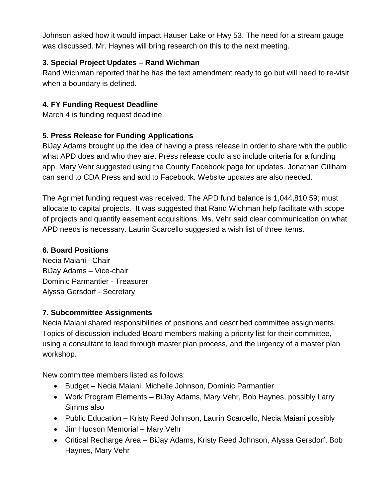Johnson asked how it would impact Hauser Lake or Hwy 53. The need for a stream gauge was discussed. Mr. Haynes will bring research on this to the next meeting.

# **3. Special Project Updates – Rand Wichman**

Rand Wichman reported that he has the text amendment ready to go but will need to re-visit when a boundary is defined.

## **4. FY Funding Request Deadline**

March 4 is funding request deadline.

## **5. Press Release for Funding Applications**

BiJay Adams brought up the idea of having a press release in order to share with the public what APD does and who they are. Press release could also include criteria for a funding app. Mary Vehr suggested using the County Facebook page for updates. Jonathan Gillham can send to CDA Press and add to Facebook. Website updates are also needed.

The Agrimet funding request was received. The APD fund balance is 1,044,810.59; must allocate to capital projects. It was suggested that Rand Wichman help facilitate with scope of projects and quantify easement acquisitions. Ms. Vehr said clear communication on what APD needs is necessary. Laurin Scarcello suggested a wish list of three items.

## **6. Board Positions**

Necia Maiani– Chair BiJay Adams – Vice-chair Dominic Parmantier - Treasurer Alyssa Gersdorf - Secretary

## **7. Subcommittee Assignments**

Necia Maiani shared responsibilities of positions and described committee assignments. Topics of discussion included Board members making a priority list for their committee, using a consultant to lead through master plan process, and the urgency of a master plan workshop.

New committee members listed as follows:

- Budget Necia Maiani, Michelle Johnson, Dominic Parmantier
- Work Program Elements BiJay Adams, Mary Vehr, Bob Haynes, possibly Larry Simms also
- Public Education Kristy Reed Johnson, Laurin Scarcello, Necia Maiani possibly
- Jim Hudson Memorial Mary Vehr
- Critical Recharge Area BiJay Adams, Kristy Reed Johnson, Alyssa Gersdorf, Bob Haynes, Mary Vehr